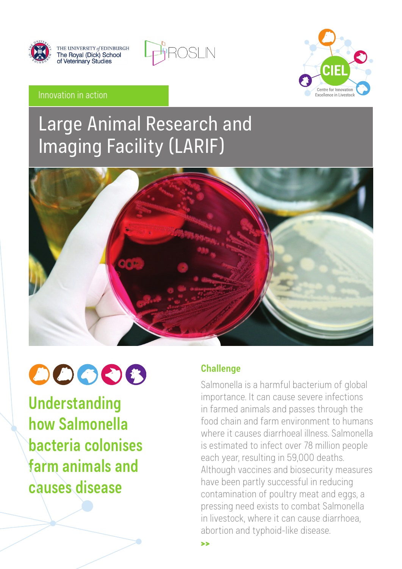

THE UNIVERSITY of EDINBURGH<br>The Royal (Dick) School<br>of Veterinary Studies





#### Innovation in action

# Large Animal Research and Imaging Facility (LARIF)



# 00006

**Understanding how Salmonella bacteria colonises farm animals and causes disease**

## **Challenge**

>>

Salmonella is a harmful bacterium of global importance. It can cause severe infections in farmed animals and passes through the food chain and farm environment to humans where it causes diarrhoeal illness. Salmonella is estimated to infect over 78 million people each year, resulting in 59,000 deaths. Although vaccines and biosecurity measures have been partly successful in reducing contamination of poultry meat and eggs, a pressing need exists to combat Salmonella in livestock, where it can cause diarrhoea, abortion and typhoid-like disease.